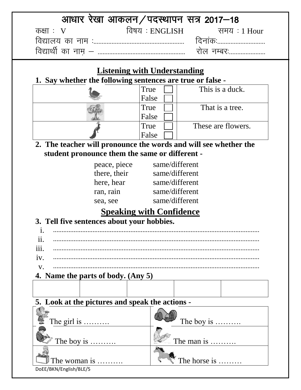|            | आधार रेखा आकलन/पदस्थापन सत्र 2017–18                       |                                                                                                                                                                                                                                                                                                                                    |
|------------|------------------------------------------------------------|------------------------------------------------------------------------------------------------------------------------------------------------------------------------------------------------------------------------------------------------------------------------------------------------------------------------------------|
| कक्षाः $V$ |                                                            | विषय : ENGLISH त्यानय : 1 Hour                                                                                                                                                                                                                                                                                                     |
|            |                                                            | दिनांकः                                                                                                                                                                                                                                                                                                                            |
|            |                                                            | रोल नम्बरः                                                                                                                                                                                                                                                                                                                         |
|            | <b>Listening with Understanding</b>                        |                                                                                                                                                                                                                                                                                                                                    |
|            | 1. Say whether the following sentences are true or false - | $\Gamma$ , and $\Gamma$ and $\Gamma$ are $\Gamma$ and $\Gamma$ are $\Gamma$ and $\Gamma$ are $\Gamma$ and $\Gamma$ are $\Gamma$ and $\Gamma$ are $\Gamma$ and $\Gamma$ are $\Gamma$ and $\Gamma$ are $\Gamma$ and $\Gamma$ are $\Gamma$ and $\Gamma$ are $\Gamma$ and $\Gamma$ are $\Gamma$ and $\Gamma$ are $\Gamma$ and $\Gamma$ |

| True  | This is a duck.    |
|-------|--------------------|
| False |                    |
| True  | That is a tree.    |
| False |                    |
| True  | These are flowers. |
| False |                    |

**2. The teacher will pronounce the words and will see whether the student pronounce them the same or different -**

| peace, piece | same/different |
|--------------|----------------|
| there, their | same/different |
| here, hear   | same/different |
| ran, rain    | same/different |
| sea, see     | same/different |
|              |                |

# **Speaking with Confidence**

# **3. Tell five sentences about your hobbies.**

| $\mathbf{ii}$ |                                    |
|---------------|------------------------------------|
| 111.          |                                    |
|               |                                    |
|               |                                    |
|               | 4. Name the parts of body. (Any 5) |

# **5. Look at the pictures and speak the actions -**

| $\bullet$ The girl is  | The boy is $\dots \dots$ |
|------------------------|--------------------------|
| $\mathbb Z$ The boy is | The man is               |
| <b>The woman is </b>   | The horse is             |
| DoEE/BKN/English/BLE/5 |                          |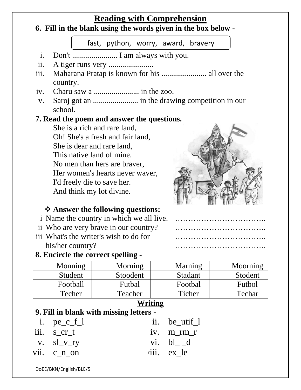## **Reading with Comprehension**

#### **6. Fill in the blank using the words given in the box below -**

fast, python, worry, award, bravery

- i. Don't ....................... I am always with you.
- ii. A tiger runs very .......................
- iii. Maharana Pratap is known for his ....................... all over the country.
- iv. Charu saw a ....................... in the zoo.
- v. Saroj got an ....................... in the drawing competition in our school.

#### **7. Read the poem and answer the questions.**

She is a rich and rare land, Oh! She's a fresh and fair land, She is dear and rare land, This native land of mine. No men than hers are braver, Her women's hearts never waver, I'd freely die to save her. And think my lot divine.



## **Answer the following questions:**

- i. Name the country in which we all live.
- ii. Who are very brave in our country?
- iii. What's the writer's wish to do for his/her country?

### **8. Encircle the correct spelling -**

| .         | . <b>.</b>   |  |
|-----------|--------------|--|
|           | .            |  |
| $\ddotsc$ | . <i>.</i> . |  |
|           |              |  |

| Monning  | Morning  | Marning | Moorning |
|----------|----------|---------|----------|
| Student  | Stoodent | Stadant | Stodent  |
| Football | Futbal   | Footbal | Futbol   |
| Techer   | Teacher  | Ticher  | Techar   |

## **Writing**

### **9. Fill in blank with missing letters -**

| i. $pe_c_f$    | ii. be_utif_1                   |
|----------------|---------------------------------|
| iii. s cr t    | iv. m rm r                      |
| v. $sl\_v\_ry$ | vi. bl d                        |
| vii. $c_n$ on  | $\overline{\text{riii.}}$ ex_le |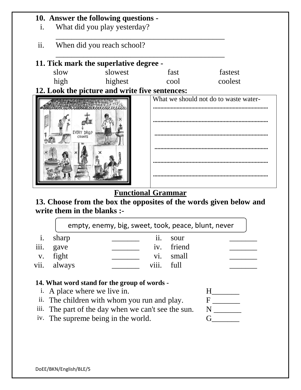| When did you reach school? |            |                                                                                          |
|----------------------------|------------|------------------------------------------------------------------------------------------|
|                            |            |                                                                                          |
| slowest                    | fast       | fastest                                                                                  |
| highest                    | cool       | coolest                                                                                  |
|                            |            |                                                                                          |
|                            |            | What we should not do to waste water-                                                    |
|                            |            |                                                                                          |
|                            |            |                                                                                          |
|                            |            |                                                                                          |
|                            |            |                                                                                          |
|                            |            |                                                                                          |
|                            | EVERY DROP | 11. Tick mark the superlative degree -<br>12. Look the picture and write five sentences: |

## **Functional Grammar**

# **13. Choose from the box the opposites of the words given below and write them in the blanks :-**

|                |       |                   | empty, enemy, big, sweet, took, peace, blunt, never |
|----------------|-------|-------------------|-----------------------------------------------------|
| $\mathbf{1}$ . | sharp | 11.               | sour                                                |
| iii.           | gave  |                   | iv. friend                                          |
| V.             | fight | $\overline{vi}$ . | small                                               |
| vii. always    |       | viii. full        |                                                     |

## **14. What word stand for the group of words -**

| <i>i.</i> A place where we live in.                 |  |
|-----------------------------------------------------|--|
| ii. The children with whom you run and play.        |  |
| iii. The part of the day when we can't see the sun. |  |
| iv. The supreme being in the world.                 |  |
|                                                     |  |